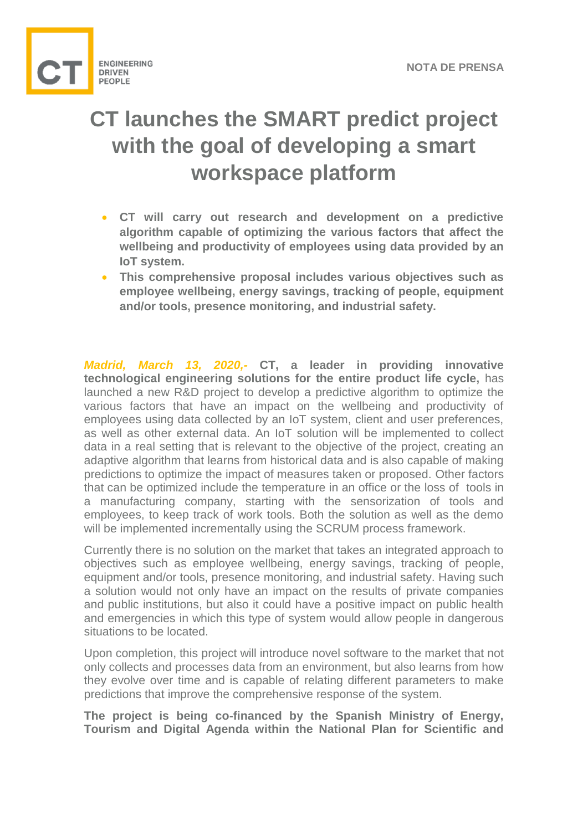

## **CT launches the SMART predict project with the goal of developing a smart workspace platform**

- **CT will carry out research and development on a predictive algorithm capable of optimizing the various factors that affect the wellbeing and productivity of employees using data provided by an IoT system.**
- **This comprehensive proposal includes various objectives such as employee wellbeing, energy savings, tracking of people, equipment and/or tools, presence monitoring, and industrial safety.**

*Madrid, March 13, 2020,-* **CT, a leader in providing innovative technological engineering solutions for the entire product life cycle,** has launched a new R&D project to develop a predictive algorithm to optimize the various factors that have an impact on the wellbeing and productivity of employees using data collected by an IoT system, client and user preferences, as well as other external data. An IoT solution will be implemented to collect data in a real setting that is relevant to the objective of the project, creating an adaptive algorithm that learns from historical data and is also capable of making predictions to optimize the impact of measures taken or proposed. Other factors that can be optimized include the temperature in an office or the loss of tools in a manufacturing company, starting with the sensorization of tools and employees, to keep track of work tools. Both the solution as well as the demo will be implemented incrementally using the SCRUM process framework.

Currently there is no solution on the market that takes an integrated approach to objectives such as employee wellbeing, energy savings, tracking of people, equipment and/or tools, presence monitoring, and industrial safety. Having such a solution would not only have an impact on the results of private companies and public institutions, but also it could have a positive impact on public health and emergencies in which this type of system would allow people in dangerous situations to be located.

Upon completion, this project will introduce novel software to the market that not only collects and processes data from an environment, but also learns from how they evolve over time and is capable of relating different parameters to make predictions that improve the comprehensive response of the system.

**The project is being co-financed by the Spanish Ministry of Energy, Tourism and Digital Agenda within the National Plan for Scientific and**